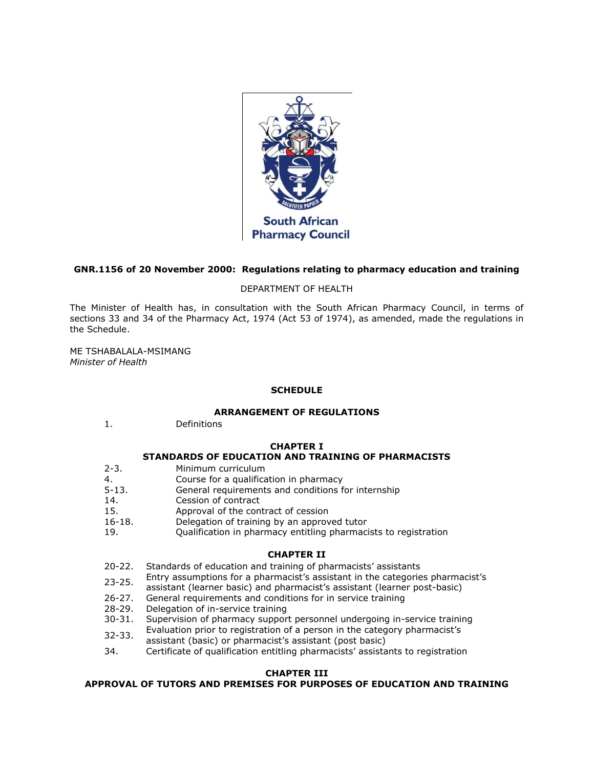

## **GNR.1156 of 20 November 2000: Regulations relating to pharmacy education and training**

DEPARTMENT OF HEALTH

The Minister of Health has, in consultation with the South African Pharmacy Council, in terms of [sections 33](http://www.mylexisnexis.co.za/nxt/gateway.dll/jilc/kilc/xjsg/zmsg/0msg/c34h#0) and [34](http://www.mylexisnexis.co.za/nxt/gateway.dll/jilc/kilc/xjsg/zmsg/0msg/e34h#0) of the Pharmacy Act, 1974 (Act [53 of 1974\)](http://www.mylexisnexis.co.za/nxt/gateway.dll/jilc/kilc/xjsg/zmsg/0msg#0), as amended, made the regulations in [the Schedule.](http://www.mylexisnexis.co.za/nxt/gateway.dll/jilc/kilc/xjsg/zmsg/cnsg/6ok2a/8ok2a?f=templates$fn=document-frame.htm$3.0$q=$x=$nc=1624#30d)

ME TSHABALALA-MSIMANG *Minister of Health*

# **SCHEDULE**

### **ARRANGEMENT OF REGULATIONS**

[1.](http://www.mylexisnexis.co.za/nxt/gateway.dll/jilc/kilc/xjsg/zmsg/cnsg/6ok2a/8ok2a/9ok2a#30c) Definitions

### **CHAPTER I**

# **STANDARDS OF EDUCATION AND TRAINING OF PHARMACISTS**

- [2-](http://www.mylexisnexis.co.za/nxt/gateway.dll/jilc/kilc/xjsg/zmsg/cnsg/6ok2a/8ok2a/apk2a#319)[3.](http://www.mylexisnexis.co.za/nxt/gateway.dll/jilc/kilc/xjsg/zmsg/cnsg/6ok2a/8ok2a/bpk2a#31a) Minimum curriculum
- [4.](http://www.mylexisnexis.co.za/nxt/gateway.dll/jilc/kilc/xjsg/zmsg/cnsg/6ok2a/8ok2a/cpk2a#31d) Course for a qualification in pharmacy
- [5-](http://www.mylexisnexis.co.za/nxt/gateway.dll/jilc/kilc/xjsg/zmsg/cnsg/6ok2a/8ok2a/dpk2a#31e)[13.](http://www.mylexisnexis.co.za/nxt/gateway.dll/jilc/kilc/xjsg/zmsg/cnsg/6ok2a/8ok2a/lpk2a#31x) General requirements and conditions for internship
- [14.](http://www.mylexisnexis.co.za/nxt/gateway.dll/jilc/kilc/xjsg/zmsg/cnsg/6ok2a/8ok2a/mpk2a#31y) Cession of contract
- [15.](http://www.mylexisnexis.co.za/nxt/gateway.dll/jilc/kilc/xjsg/zmsg/cnsg/6ok2a/8ok2a/npk2a#324) Approval of the contract of cession
- [16](http://www.mylexisnexis.co.za/nxt/gateway.dll/jilc/kilc/xjsg/zmsg/cnsg/6ok2a/8ok2a/opk2a#32d)[-18.](http://www.mylexisnexis.co.za/nxt/gateway.dll/jilc/kilc/xjsg/zmsg/cnsg/6ok2a/8ok2a/qpk2a#32s) Delegation of training by an approved tutor
- [19.](http://www.mylexisnexis.co.za/nxt/gateway.dll/jilc/kilc/xjsg/zmsg/cnsg/6ok2a/8ok2a/rpk2a#32v) Qualification in pharmacy entitling pharmacists to registration

## **CHAPTER II**

- [20](http://www.mylexisnexis.co.za/nxt/gateway.dll/jilc/kilc/xjsg/zmsg/cnsg/6ok2a/8ok2a/spk2a#32y)[-22.](http://www.mylexisnexis.co.za/nxt/gateway.dll/jilc/kilc/xjsg/zmsg/cnsg/6ok2a/8ok2a/upk2a#330) Standards of education and training of pharmacists' assistants
- [23](http://www.mylexisnexis.co.za/nxt/gateway.dll/jilc/kilc/xjsg/zmsg/cnsg/6ok2a/8ok2a/vpk2a#331)[-25.](http://www.mylexisnexis.co.za/nxt/gateway.dll/jilc/kilc/xjsg/zmsg/cnsg/6ok2a/8ok2a/xpk2a#333) Entry assumptions for a pharmacist's assistant in the categories pharmacist's
- assistant (learner basic) and pharmacist's assistant (learner post-basic)
- [26](http://www.mylexisnexis.co.za/nxt/gateway.dll/jilc/kilc/xjsg/zmsg/cnsg/6ok2a/8ok2a/ypk2a#334)[-27.](http://www.mylexisnexis.co.za/nxt/gateway.dll/jilc/kilc/xjsg/zmsg/cnsg/6ok2a/8ok2a/zpk2a#337) General requirements and conditions for in service training 28-29. Delegation of in-service training
- Delegation of in-service training
- [30](http://www.mylexisnexis.co.za/nxt/gateway.dll/jilc/kilc/xjsg/zmsg/cnsg/6ok2a/8ok2a/2pk2a#33d)[-31.](http://www.mylexisnexis.co.za/nxt/gateway.dll/jilc/kilc/xjsg/zmsg/cnsg/6ok2a/8ok2a/3pk2a#33e) Supervision of pharmacy support personnel undergoing in-service training
- [32](http://www.mylexisnexis.co.za/nxt/gateway.dll/jilc/kilc/xjsg/zmsg/cnsg/6ok2a/8ok2a/4pk2a#33i)[-33.](http://www.mylexisnexis.co.za/nxt/gateway.dll/jilc/kilc/xjsg/zmsg/cnsg/6ok2a/8ok2a/5pk2a#33j) Evaluation prior to registration of a person in the category pharmacist's
- assistant (basic) or pharmacist's assistant (post basic)
- [34.](http://www.mylexisnexis.co.za/nxt/gateway.dll/jilc/kilc/xjsg/zmsg/cnsg/6ok2a/8ok2a/6pk2a#33k) Certificate of qualification entitling pharmacists' assistants to registration

### **CHAPTER III**

# **APPROVAL OF TUTORS AND PREMISES FOR PURPOSES OF EDUCATION AND TRAINING**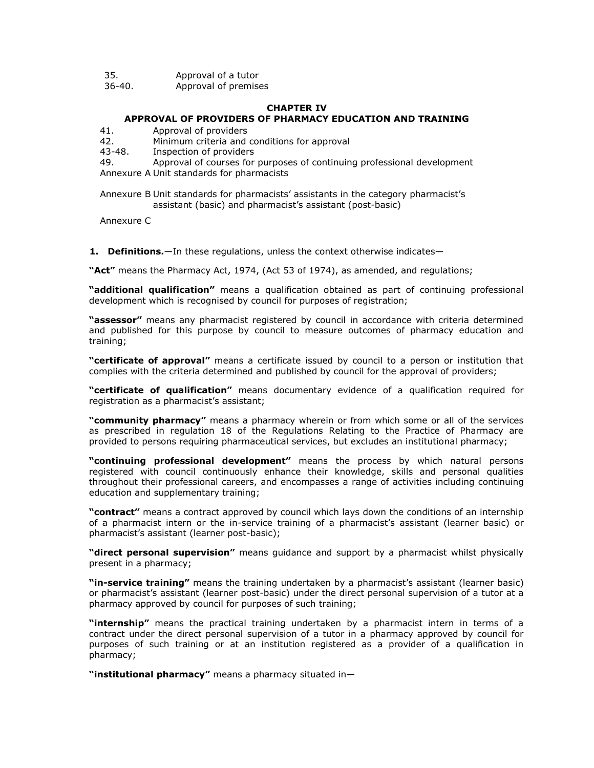| 35. | Approval of a tutor |  |
|-----|---------------------|--|
|     |                     |  |

[36](http://www.mylexisnexis.co.za/nxt/gateway.dll/jilc/kilc/xjsg/zmsg/cnsg/6ok2a/8ok2a/8pk2a#33q)[-40.](http://www.mylexisnexis.co.za/nxt/gateway.dll/jilc/kilc/xjsg/zmsg/cnsg/6ok2a/8ok2a/cqk2a#33y) Approval of premises

#### **CHAPTER IV**

#### **APPROVAL OF PROVIDERS OF PHARMACY EDUCATION AND TRAINING**

[41.](http://www.mylexisnexis.co.za/nxt/gateway.dll/jilc/kilc/xjsg/zmsg/cnsg/6ok2a/8ok2a/dqk2a#33z) Approval of providers

[42.](http://www.mylexisnexis.co.za/nxt/gateway.dll/jilc/kilc/xjsg/zmsg/cnsg/6ok2a/8ok2a/eqk2a#343) Minimum criteria and conditions for approval

[43](http://www.mylexisnexis.co.za/nxt/gateway.dll/jilc/kilc/xjsg/zmsg/cnsg/6ok2a/8ok2a/fqk2a#348)[-48.](http://www.mylexisnexis.co.za/nxt/gateway.dll/jilc/kilc/xjsg/zmsg/cnsg/6ok2a/8ok2a/kqk2a#34i) Inspection of providers

[49.](http://www.mylexisnexis.co.za/nxt/gateway.dll/jilc/kilc/xjsg/zmsg/cnsg/6ok2a/8ok2a/lqk2a#34j) Approval of courses for purposes of continuing professional development [Annexure A](http://www.mylexisnexis.co.za/nxt/gateway.dll/jilc/kilc/xjsg/zmsg/cnsg/6ok2a/8ok2a/mqk2a#34k) Unit standards for pharmacists

[Annexure B](http://www.mylexisnexis.co.za/nxt/gateway.dll/jilc/kilc/xjsg/zmsg/cnsg/6ok2a/8ok2a/nqk2a#34l) Unit standards for pharmacists' assistants in the category pharmacist's assistant (basic) and pharmacist's assistant (post-basic)

[Annexure C](http://www.mylexisnexis.co.za/nxt/gateway.dll/jilc/kilc/xjsg/zmsg/cnsg/6ok2a/8ok2a/oqk2a#34m)

**1.** Definitions.—In these regulations, unless the context otherwise indicates—

**"Act"** means the Pharmacy Act, 1974, (Act [53 of 1974\)](http://www.mylexisnexis.co.za/nxt/gateway.dll/jilc/kilc/xjsg/zmsg/0msg#0), as amended, and regulations;

**"additional qualification"** means a qualification obtained as part of continuing professional development which is recognised by council for purposes of registration;

**"assessor"** means any pharmacist registered by council in accordance with criteria determined and published for this purpose by council to measure outcomes of pharmacy education and training;

**"certificate of approval"** means a certificate issued by council to a person or institution that complies with the criteria determined and published by council for the approval of providers;

**"certificate of qualification"** means documentary evidence of a qualification required for registration as a pharmacist's assistant;

**"community pharmacy"** means a pharmacy wherein or from which some or all of the services as prescribed in [regulation 18](http://www.mylexisnexis.co.za/nxt/gateway.dll/jilc/kilc/xjsg/zmsg/cnsg/6ok2a/8ok2a/qpk2a#32s) of the Regulations Relating to the Practice of Pharmacy are provided to persons requiring pharmaceutical services, but excludes an institutional pharmacy;

**"continuing professional development"** means the process by which natural persons registered with council continuously enhance their knowledge, skills and personal qualities throughout their professional careers, and encompasses a range of activities including continuing education and supplementary training;

**"contract"** means a contract approved by council which lays down the conditions of an internship of a pharmacist intern or the in-service training of a pharmacist's assistant (learner basic) or pharmacist's assistant (learner post-basic);

**"direct personal supervision"** means guidance and support by a pharmacist whilst physically present in a pharmacy;

**"in-service training"** means the training undertaken by a pharmacist's assistant (learner basic) or pharmacist's assistant (learner post-basic) under the direct personal supervision of a tutor at a pharmacy approved by council for purposes of such training;

**"internship"** means the practical training undertaken by a pharmacist intern in terms of a contract under the direct personal supervision of a tutor in a pharmacy approved by council for purposes of such training or at an institution registered as a provider of a qualification in pharmacy;

**"institutional pharmacy"** means a pharmacy situated in—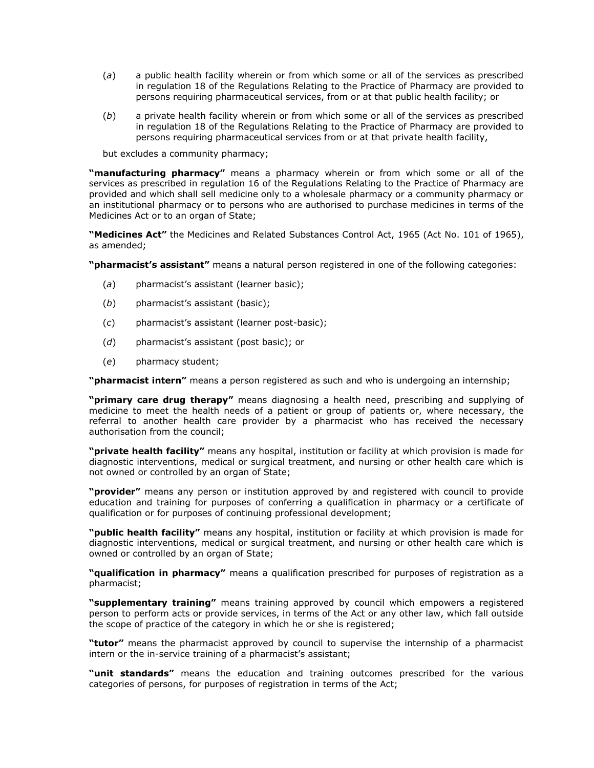- (*a*) a public health facility wherein or from which some or all of the services as prescribed in [regulation 18](http://www.mylexisnexis.co.za/nxt/gateway.dll/jilc/kilc/xjsg/zmsg/cnsg/6ok2a/8ok2a/qpk2a#32s) of the Regulations Relating to the Practice of Pharmacy are provided to persons requiring pharmaceutical services, from or at that public health facility; or
- (*b*) a private health facility wherein or from which some or all of the services as prescribed in [regulation 18](http://www.mylexisnexis.co.za/nxt/gateway.dll/jilc/kilc/xjsg/zmsg/cnsg/6ok2a/8ok2a/qpk2a#32s) of the Regulations Relating to the Practice of Pharmacy are provided to persons requiring pharmaceutical services from or at that private health facility,

but excludes a community pharmacy;

**"manufacturing pharmacy"** means a pharmacy wherein or from which some or all of the services as prescribed in [regulation 16](http://www.mylexisnexis.co.za/nxt/gateway.dll/jilc/kilc/xjsg/zmsg/cnsg/6ok2a/8ok2a/opk2a#32d) of the Regulations Relating to the Practice of Pharmacy are provided and which shall sell medicine only to a wholesale pharmacy or a community pharmacy or an institutional pharmacy or to persons who are authorised to purchase medicines in terms of the Medicines Act or to an organ of State;

**"Medicines Act"** the Medicines and Related Substances Control Act, 1965 (Act [No. 101 of 1965\)](http://www.mylexisnexis.co.za/nxt/gateway.dll/jilc/kilc/ezrg/p5rg/q5rg#0), as amended;

**"pharmacist's assistant"** means a natural person registered in one of the following categories:

- (*a*) pharmacist's assistant (learner basic);
- (*b*) pharmacist's assistant (basic);
- (*c*) pharmacist's assistant (learner post-basic);
- (*d*) pharmacist's assistant (post basic); or
- (*e*) pharmacy student;

**"pharmacist intern"** means a person registered as such and who is undergoing an internship;

**"primary care drug therapy"** means diagnosing a health need, prescribing and supplying of medicine to meet the health needs of a patient or group of patients or, where necessary, the referral to another health care provider by a pharmacist who has received the necessary authorisation from the council;

**"private health facility"** means any hospital, institution or facility at which provision is made for diagnostic interventions, medical or surgical treatment, and nursing or other health care which is not owned or controlled by an organ of State;

**"provider"** means any person or institution approved by and registered with council to provide education and training for purposes of conferring a qualification in pharmacy or a certificate of qualification or for purposes of continuing professional development;

**"public health facility"** means any hospital, institution or facility at which provision is made for diagnostic interventions, medical or surgical treatment, and nursing or other health care which is owned or controlled by an organ of State;

**"qualification in pharmacy"** means a qualification prescribed for purposes of registration as a pharmacist;

**"supplementary training"** means training approved by council which empowers a registered person to perform acts or provide services, in terms of the Act or any other law, which fall outside the scope of practice of the category in which he or she is registered;

**"tutor"** means the pharmacist approved by council to supervise the internship of a pharmacist intern or the in-service training of a pharmacist's assistant;

**"unit standards"** means the education and training outcomes prescribed for the various categories of persons, for purposes of registration in terms of the Act;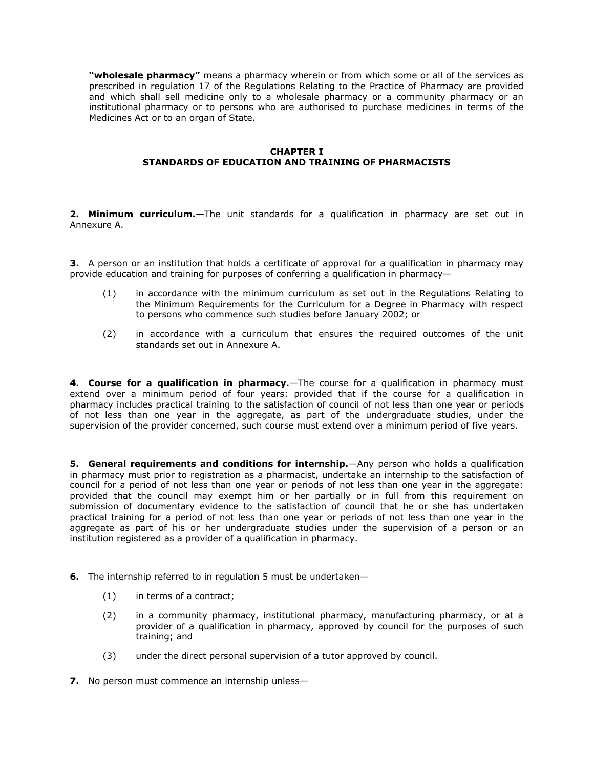**"wholesale pharmacy"** means a pharmacy wherein or from which some or all of the services as prescribed in [regulation 17](http://www.mylexisnexis.co.za/nxt/gateway.dll/jilc/kilc/xjsg/zmsg/cnsg/6ok2a/8ok2a/ppk2a#32n) of the Regulations Relating to the Practice of Pharmacy are provided and which shall sell medicine only to a wholesale pharmacy or a community pharmacy or an institutional pharmacy or to persons who are authorised to purchase medicines in terms of the Medicines Act or to an organ of State.

### **CHAPTER I STANDARDS OF EDUCATION AND TRAINING OF PHARMACISTS**

**2. Minimum curriculum.**—The unit standards for a qualification in pharmacy are set out in [Annexure A.](http://www.mylexisnexis.co.za/nxt/gateway.dll/jilc/kilc/xjsg/zmsg/cnsg/6ok2a/8ok2a/mqk2a#34k)

**3.** A person or an institution that holds a certificate of approval for a qualification in pharmacy may provide education and training for purposes of conferring a qualification in pharmacy—

- (1) in accordance with the minimum curriculum as set out in the Regulations Relating to the Minimum Requirements for the Curriculum for a Degree in Pharmacy with respect to persons who commence such studies before January 2002; or
- (2) in accordance with a curriculum that ensures the required outcomes of the unit standards set out in [Annexure A.](http://www.mylexisnexis.co.za/nxt/gateway.dll/jilc/kilc/xjsg/zmsg/cnsg/6ok2a/8ok2a/mqk2a#34k)

**4. Course for a qualification in pharmacy.**—The course for a qualification in pharmacy must extend over a minimum period of four years: provided that if the course for a qualification in pharmacy includes practical training to the satisfaction of council of not less than one year or periods of not less than one year in the aggregate, as part of the undergraduate studies, under the supervision of the provider concerned, such course must extend over a minimum period of five years.

**5. General requirements and conditions for internship.**—Any person who holds a qualification in pharmacy must prior to registration as a pharmacist, undertake an internship to the satisfaction of council for a period of not less than one year or periods of not less than one year in the aggregate: provided that the council may exempt him or her partially or in full from this requirement on submission of documentary evidence to the satisfaction of council that he or she has undertaken practical training for a period of not less than one year or periods of not less than one year in the aggregate as part of his or her undergraduate studies under the supervision of a person or an institution registered as a provider of a qualification in pharmacy.

- **6.** The internship referred to in [regulation 5](http://www.mylexisnexis.co.za/nxt/gateway.dll/jilc/kilc/xjsg/zmsg/cnsg/6ok2a/8ok2a/dpk2a#31e) must be undertaken—
	- (1) in terms of a contract;
	- (2) in a community pharmacy, institutional pharmacy, manufacturing pharmacy, or at a provider of a qualification in pharmacy, approved by council for the purposes of such training; and
	- (3) under the direct personal supervision of a tutor approved by council.
- **7.** No person must commence an internship unless-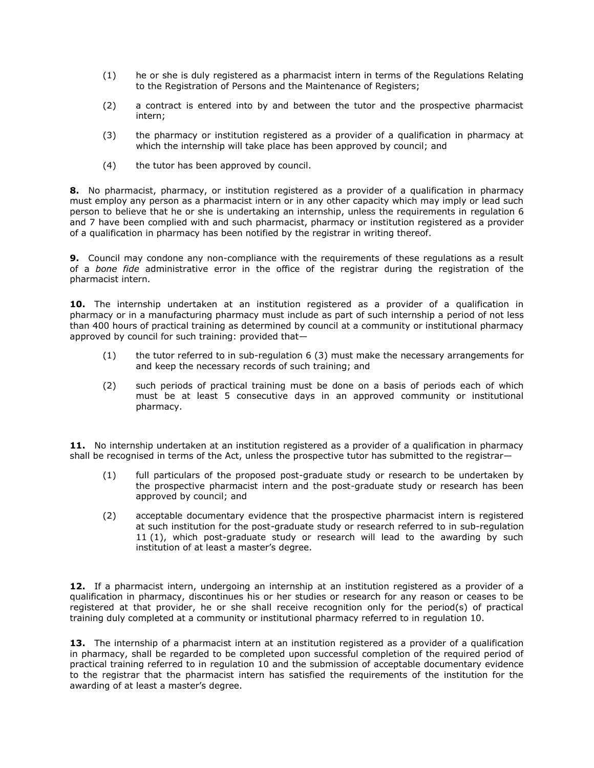- (1) he or she is duly registered as a pharmacist intern in terms of the Regulations Relating to the Registration of Persons and the Maintenance of Registers;
- (2) a contract is entered into by and between the tutor and the prospective pharmacist intern;
- (3) the pharmacy or institution registered as a provider of a qualification in pharmacy at which the internship will take place has been approved by council; and
- (4) the tutor has been approved by council.

**8.** No pharmacist, pharmacy, or institution registered as a provider of a qualification in pharmacy must employ any person as a pharmacist intern or in any other capacity which may imply or lead such person to believe that he or she is undertaking an internship, unless the requirements in [regulation 6](http://www.mylexisnexis.co.za/nxt/gateway.dll/jilc/kilc/xjsg/zmsg/cnsg/6ok2a/8ok2a/epk2a#31f) and [7](http://www.mylexisnexis.co.za/nxt/gateway.dll/jilc/kilc/xjsg/zmsg/cnsg/6ok2a/8ok2a/fpk2a#31j) have been complied with and such pharmacist, pharmacy or institution registered as a provider of a qualification in pharmacy has been notified by the registrar in writing thereof.

**9.** Council may condone any non-compliance with the requirements of these regulations as a result of a *bone fide* administrative error in the office of the registrar during the registration of the pharmacist intern.

**10.** The internship undertaken at an institution registered as a provider of a qualification in pharmacy or in a manufacturing pharmacy must include as part of such internship a period of not less than 400 hours of practical training as determined by council at a community or institutional pharmacy approved by council for such training: provided that—

- (1) the tutor referred to in [sub-regulation 6](http://www.mylexisnexis.co.za/nxt/gateway.dll/jilc/kilc/xjsg/zmsg/cnsg/6ok2a/8ok2a/epk2a#31i) (3) must make the necessary arrangements for and keep the necessary records of such training; and
- (2) such periods of practical training must be done on a basis of periods each of which must be at least 5 consecutive days in an approved community or institutional pharmacy.

**11.** No internship undertaken at an institution registered as a provider of a qualification in pharmacy shall be recognised in terms of the Act, unless the prospective tutor has submitted to the registrar-

- (1) full particulars of the proposed post-graduate study or research to be undertaken by the prospective pharmacist intern and the post-graduate study or research has been approved by council; and
- (2) acceptable documentary evidence that the prospective pharmacist intern is registered at such institution for the post-graduate study or research referred to in [sub-regulation](http://www.mylexisnexis.co.za/nxt/gateway.dll/jilc/kilc/xjsg/zmsg/cnsg/6ok2a/8ok2a/jpk2a?f=templates$fn=document-frame.htm$3.0$q=$x=$nc=2395#31u)  11 [\(1\),](http://www.mylexisnexis.co.za/nxt/gateway.dll/jilc/kilc/xjsg/zmsg/cnsg/6ok2a/8ok2a/jpk2a?f=templates$fn=document-frame.htm$3.0$q=$x=$nc=2395#31u) which post-graduate study or research will lead to the awarding by such institution of at least a master's degree.

**12.** If a pharmacist intern, undergoing an internship at an institution registered as a provider of a qualification in pharmacy, discontinues his or her studies or research for any reason or ceases to be registered at that provider, he or she shall receive recognition only for the period(s) of practical training duly completed at a community or institutional pharmacy referred to in [regulation 10.](http://www.mylexisnexis.co.za/nxt/gateway.dll/jilc/kilc/xjsg/zmsg/cnsg/6ok2a/8ok2a/ipk2a#31q)

13. The internship of a pharmacist intern at an institution registered as a provider of a qualification in pharmacy, shall be regarded to be completed upon successful completion of the required period of practical training referred to in [regulation 10](http://www.mylexisnexis.co.za/nxt/gateway.dll/jilc/kilc/xjsg/zmsg/cnsg/6ok2a/8ok2a/ipk2a#31q) and the submission of acceptable documentary evidence to the registrar that the pharmacist intern has satisfied the requirements of the institution for the awarding of at least a master's degree.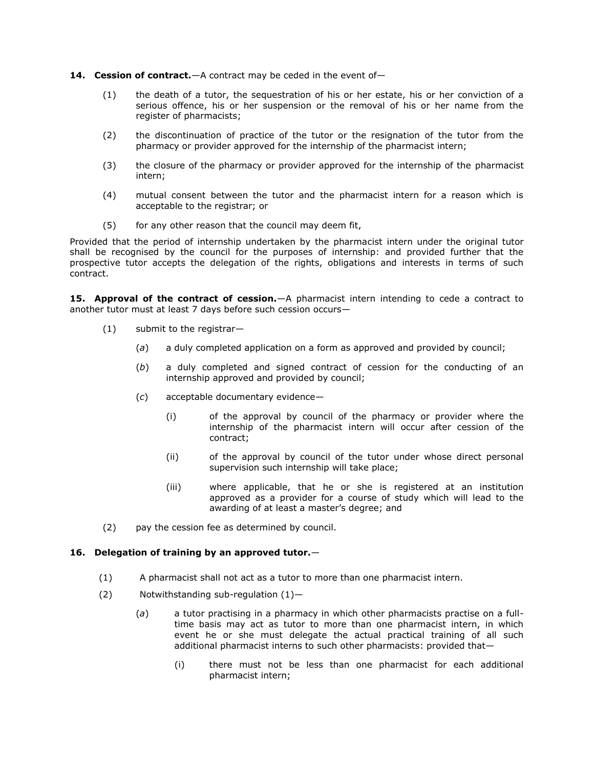#### 14. Cession of contract.—A contract may be ceded in the event of-

- (1) the death of a tutor, the sequestration of his or her estate, his or her conviction of a serious offence, his or her suspension or the removal of his or her name from the register of pharmacists;
- (2) the discontinuation of practice of the tutor or the resignation of the tutor from the pharmacy or provider approved for the internship of the pharmacist intern;
- (3) the closure of the pharmacy or provider approved for the internship of the pharmacist intern;
- (4) mutual consent between the tutor and the pharmacist intern for a reason which is acceptable to the registrar; or
- (5) for any other reason that the council may deem fit,

Provided that the period of internship undertaken by the pharmacist intern under the original tutor shall be recognised by the council for the purposes of internship: and provided further that the prospective tutor accepts the delegation of the rights, obligations and interests in terms of such contract.

**15. Approval of the contract of cession.**—A pharmacist intern intending to cede a contract to another tutor must at least 7 days before such cession occurs—

- (1) submit to the registrar—
	- (*a*) a duly completed application on a form as approved and provided by council;
	- (*b*) a duly completed and signed contract of cession for the conducting of an internship approved and provided by council;
	- (*c*) acceptable documentary evidence—
		- (i) of the approval by council of the pharmacy or provider where the internship of the pharmacist intern will occur after cession of the contract;
		- (ii) of the approval by council of the tutor under whose direct personal supervision such internship will take place;
		- (iii) where applicable, that he or she is registered at an institution approved as a provider for a course of study which will lead to the awarding of at least a master's degree; and
- (2) pay the cession fee as determined by council.

### **16. Delegation of training by an approved tutor.**—

- (1) A pharmacist shall not act as a tutor to more than one pharmacist intern.
- (2) Notwithstanding [sub-regulation \(1\)](http://www.mylexisnexis.co.za/nxt/gateway.dll/jilc/kilc/xjsg/zmsg/cnsg/6ok2a/8ok2a/opk2a?f=templates$fn=document-frame.htm$3.0$q=$x=$nc=93#32e)
	- (*a*) a tutor practising in a pharmacy in which other pharmacists practise on a fulltime basis may act as tutor to more than one pharmacist intern, in which event he or she must delegate the actual practical training of all such additional pharmacist interns to such other pharmacists: provided that—
		- (i) there must not be less than one pharmacist for each additional pharmacist intern;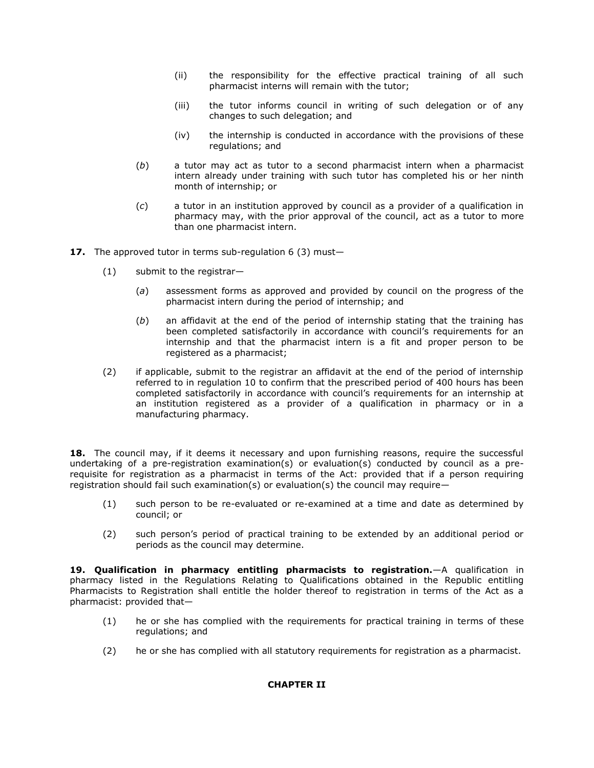- (ii) the responsibility for the effective practical training of all such pharmacist interns will remain with the tutor;
- (iii) the tutor informs council in writing of such delegation or of any changes to such delegation; and
- (iv) the internship is conducted in accordance with the provisions of these regulations; and
- (*b*) a tutor may act as tutor to a second pharmacist intern when a pharmacist intern already under training with such tutor has completed his or her ninth month of internship; or
- (*c*) a tutor in an institution approved by council as a provider of a qualification in pharmacy may, with the prior approval of the council, act as a tutor to more than one pharmacist intern.
- **17.** The approved tutor in terms [sub-regulation 6](http://www.mylexisnexis.co.za/nxt/gateway.dll/jilc/kilc/xjsg/zmsg/cnsg/6ok2a/8ok2a/epk2a#31i) (3) must—
	- (1) submit to the registrar—
		- (*a*) assessment forms as approved and provided by council on the progress of the pharmacist intern during the period of internship; and
		- (*b*) an affidavit at the end of the period of internship stating that the training has been completed satisfactorily in accordance with council's requirements for an internship and that the pharmacist intern is a fit and proper person to be registered as a pharmacist;
	- (2) if applicable, submit to the registrar an affidavit at the end of the period of internship referred to in [regulation 10](http://www.mylexisnexis.co.za/nxt/gateway.dll/jilc/kilc/xjsg/zmsg/cnsg/6ok2a/8ok2a/ipk2a#31q) to confirm that the prescribed period of 400 hours has been completed satisfactorily in accordance with council's requirements for an internship at an institution registered as a provider of a qualification in pharmacy or in a manufacturing pharmacy.

18. The council may, if it deems it necessary and upon furnishing reasons, require the successful undertaking of a pre-registration examination(s) or evaluation(s) conducted by council as a prerequisite for registration as a pharmacist in terms of the Act: provided that if a person requiring registration should fail such examination(s) or evaluation(s) the council may require—

- (1) such person to be re-evaluated or re-examined at a time and date as determined by council; or
- (2) such person's period of practical training to be extended by an additional period or periods as the council may determine.

**19. Qualification in pharmacy entitling pharmacists to registration.**—A qualification in pharmacy listed in the Regulations Relating to Qualifications obtained in the Republic entitling Pharmacists to Registration shall entitle the holder thereof to registration in terms of the Act as a pharmacist: provided that—

- (1) he or she has complied with the requirements for practical training in terms of these regulations; and
- (2) he or she has complied with all statutory requirements for registration as a pharmacist.

### **CHAPTER II**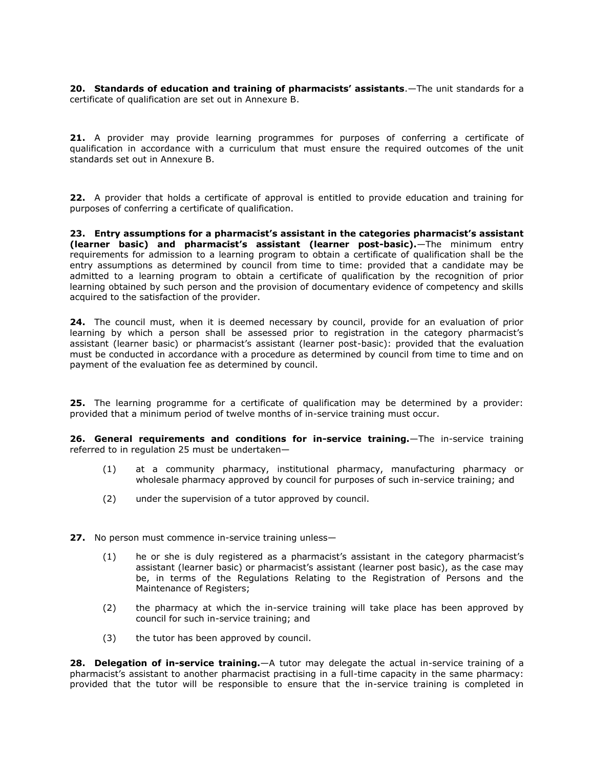**20. Standards of education and training of pharmacists' assistants**.—The unit standards for a certificate of qualification are set out in Annexure B.

**21.** A provider may provide learning programmes for purposes of conferring a certificate of qualification in accordance with a curriculum that must ensure the required outcomes of the unit standards set out in [Annexure B.](http://www.mylexisnexis.co.za/nxt/gateway.dll/jilc/kilc/xjsg/zmsg/cnsg/6ok2a/8ok2a/nqk2a#34l)

**22.** A provider that holds a certificate of approval is entitled to provide education and training for purposes of conferring a certificate of qualification.

**23. Entry assumptions for a pharmacist's assistant in the categories pharmacist's assistant (learner basic) and pharmacist's assistant (learner post-basic).**—The minimum entry requirements for admission to a learning program to obtain a certificate of qualification shall be the entry assumptions as determined by council from time to time: provided that a candidate may be admitted to a learning program to obtain a certificate of qualification by the recognition of prior learning obtained by such person and the provision of documentary evidence of competency and skills acquired to the satisfaction of the provider.

**24.** The council must, when it is deemed necessary by council, provide for an evaluation of prior learning by which a person shall be assessed prior to registration in the category pharmacist's assistant (learner basic) or pharmacist's assistant (learner post-basic): provided that the evaluation must be conducted in accordance with a procedure as determined by council from time to time and on payment of the evaluation fee as determined by council.

**25.** The learning programme for a certificate of qualification may be determined by a provider: provided that a minimum period of twelve months of in-service training must occur.

**26. General requirements and conditions for in-service training.**—The in-service training referred to in [regulation 25](http://www.mylexisnexis.co.za/nxt/gateway.dll/jilc/kilc/xjsg/zmsg/cnsg/6ok2a/8ok2a/xpk2a#333) must be undertaken—

- (1) at a community pharmacy, institutional pharmacy, manufacturing pharmacy or wholesale pharmacy approved by council for purposes of such in-service training; and
- (2) under the supervision of a tutor approved by council.
- **27.** No person must commence in-service training unless—
	- (1) he or she is duly registered as a pharmacist's assistant in the category pharmacist's assistant (learner basic) or pharmacist's assistant (learner post basic), as the case may be, in terms of the Regulations Relating to the Registration of Persons and the Maintenance of Registers;
	- (2) the pharmacy at which the in-service training will take place has been approved by council for such in-service training; and
	- (3) the tutor has been approved by council.

**28. Delegation of in-service training.**—A tutor may delegate the actual in-service training of a pharmacist's assistant to another pharmacist practising in a full-time capacity in the same pharmacy: provided that the tutor will be responsible to ensure that the in-service training is completed in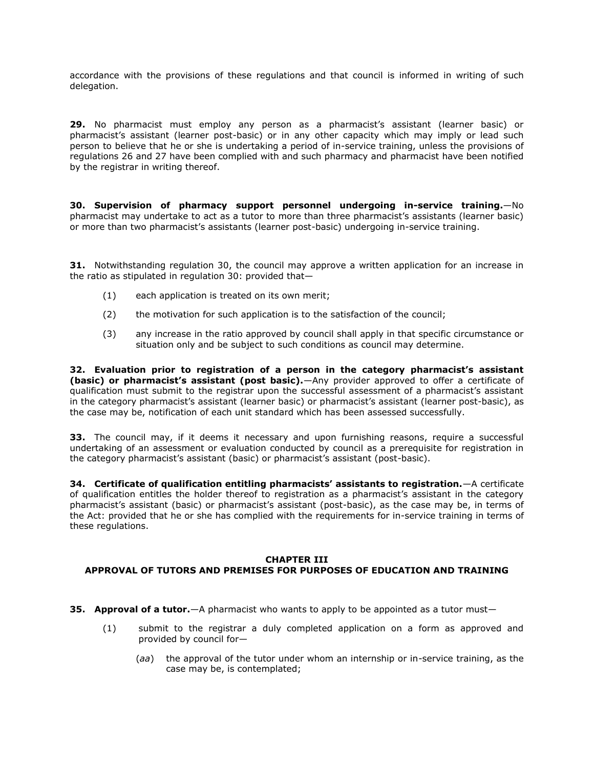accordance with the provisions of these regulations and that council is informed in writing of such delegation.

**29.** No pharmacist must employ any person as a pharmacist's assistant (learner basic) or pharmacist's assistant (learner post-basic) or in any other capacity which may imply or lead such person to believe that he or she is undertaking a period of in-service training, unless the provisions of [regulations 26](http://www.mylexisnexis.co.za/nxt/gateway.dll/jilc/kilc/xjsg/zmsg/cnsg/6ok2a/8ok2a/ypk2a#334) and [27](http://www.mylexisnexis.co.za/nxt/gateway.dll/jilc/kilc/xjsg/zmsg/cnsg/6ok2a/8ok2a/zpk2a#337) have been complied with and such pharmacy and pharmacist have been notified by the registrar in writing thereof.

**30. Supervision of pharmacy support personnel undergoing in-service training.**—No pharmacist may undertake to act as a tutor to more than three pharmacist's assistants (learner basic) or more than two pharmacist's assistants (learner post-basic) undergoing in-service training.

**31.** Notwithstanding [regulation 30,](http://www.mylexisnexis.co.za/nxt/gateway.dll/jilc/kilc/xjsg/zmsg/cnsg/6ok2a/8ok2a/2pk2a#33d) the council may approve a written application for an increase in the ratio as stipulated in [regulation 30:](http://www.mylexisnexis.co.za/nxt/gateway.dll/jilc/kilc/xjsg/zmsg/cnsg/6ok2a/8ok2a/2pk2a#33d) provided that—

- (1) each application is treated on its own merit;
- (2) the motivation for such application is to the satisfaction of the council;
- (3) any increase in the ratio approved by council shall apply in that specific circumstance or situation only and be subject to such conditions as council may determine.

**32. Evaluation prior to registration of a person in the category pharmacist's assistant (basic) or pharmacist's assistant (post basic).**—Any provider approved to offer a certificate of qualification must submit to the registrar upon the successful assessment of a pharmacist's assistant in the category pharmacist's assistant (learner basic) or pharmacist's assistant (learner post-basic), as the case may be, notification of each unit standard which has been assessed successfully.

**33.** The council may, if it deems it necessary and upon furnishing reasons, require a successful undertaking of an assessment or evaluation conducted by council as a prerequisite for registration in the category pharmacist's assistant (basic) or pharmacist's assistant (post-basic).

**34. Certificate of qualification entitling pharmacists' assistants to registration.**—A certificate of qualification entitles the holder thereof to registration as a pharmacist's assistant in the category pharmacist's assistant (basic) or pharmacist's assistant (post-basic), as the case may be, in terms of the Act: provided that he or she has complied with the requirements for in-service training in terms of these regulations.

### **CHAPTER III APPROVAL OF TUTORS AND PREMISES FOR PURPOSES OF EDUCATION AND TRAINING**

- **35. Approval of a tutor.**—A pharmacist who wants to apply to be appointed as a tutor must—
	- (1) submit to the registrar a duly completed application on a form as approved and provided by council for—
		- (*aa*) the approval of the tutor under whom an internship or in-service training, as the case may be, is contemplated;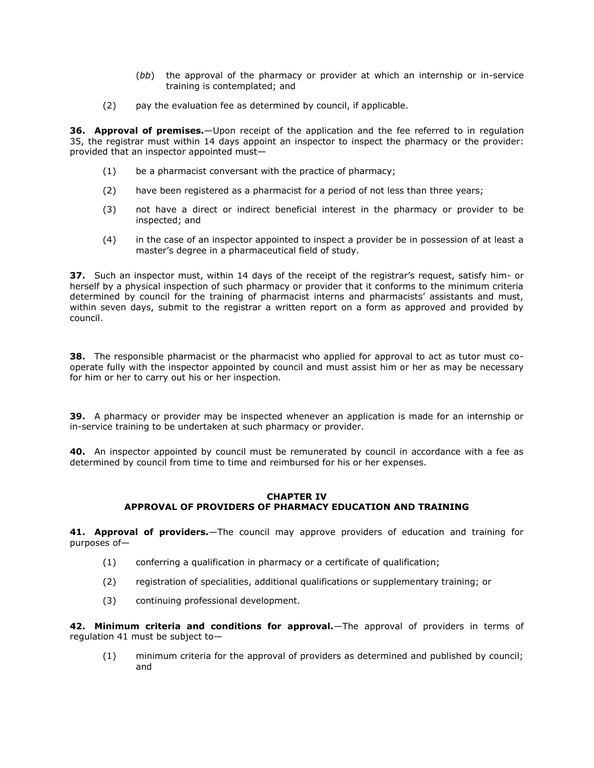- (*bb*) the approval of the pharmacy or provider at which an internship or in-service training is contemplated; and
- (2) pay the evaluation fee as determined by council, if applicable.

**36. Approval of premises.**—Upon receipt of the application and the fee referred to in [regulation](http://www.mylexisnexis.co.za/nxt/gateway.dll/jilc/kilc/xjsg/zmsg/cnsg/6ok2a/8ok2a/7pk2a#33l)  [35,](http://www.mylexisnexis.co.za/nxt/gateway.dll/jilc/kilc/xjsg/zmsg/cnsg/6ok2a/8ok2a/7pk2a#33l) the registrar must within 14 days appoint an inspector to inspect the pharmacy or the provider: provided that an inspector appointed must—

- (1) be a pharmacist conversant with the practice of pharmacy;
- (2) have been registered as a pharmacist for a period of not less than three years;
- (3) not have a direct or indirect beneficial interest in the pharmacy or provider to be inspected; and
- (4) in the case of an inspector appointed to inspect a provider be in possession of at least a master's degree in a pharmaceutical field of study.

**37.** Such an inspector must, within 14 days of the receipt of the registrar's request, satisfy him- or herself by a physical inspection of such pharmacy or provider that it conforms to the minimum criteria determined by council for the training of pharmacist interns and pharmacists' assistants and must, within seven days, submit to the registrar a written report on a form as approved and provided by council.

**38.** The responsible pharmacist or the pharmacist who applied for approval to act as tutor must cooperate fully with the inspector appointed by council and must assist him or her as may be necessary for him or her to carry out his or her inspection.

**39.** A pharmacy or provider may be inspected whenever an application is made for an internship or in-service training to be undertaken at such pharmacy or provider.

**40.** An inspector appointed by council must be remunerated by council in accordance with a fee as determined by council from time to time and reimbursed for his or her expenses.

### **CHAPTER IV APPROVAL OF PROVIDERS OF PHARMACY EDUCATION AND TRAINING**

**41. Approval of providers.**—The council may approve providers of education and training for purposes of—

- (1) conferring a qualification in pharmacy or a certificate of qualification;
- (2) registration of specialities, additional qualifications or supplementary training; or
- (3) continuing professional development.

**42. Minimum criteria and conditions for approval.**—The approval of providers in terms of [regulation 41](http://www.mylexisnexis.co.za/nxt/gateway.dll/jilc/kilc/xjsg/zmsg/cnsg/6ok2a/8ok2a/dqk2a#33z) must be subject to—

(1) minimum criteria for the approval of providers as determined and published by council; and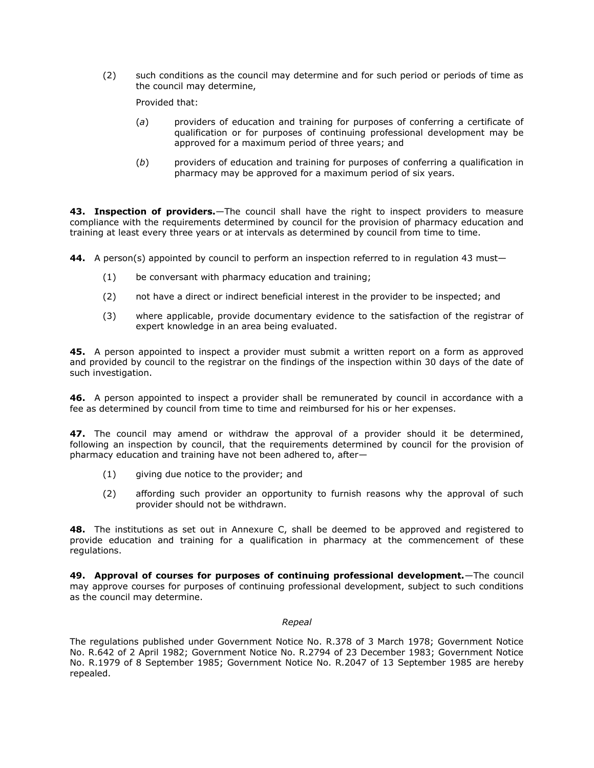(2) such conditions as the council may determine and for such period or periods of time as the council may determine,

Provided that:

- (*a*) providers of education and training for purposes of conferring a certificate of qualification or for purposes of continuing professional development may be approved for a maximum period of three years; and
- (*b*) providers of education and training for purposes of conferring a qualification in pharmacy may be approved for a maximum period of six years.

**43. Inspection of providers.**—The council shall have the right to inspect providers to measure compliance with the requirements determined by council for the provision of pharmacy education and training at least every three years or at intervals as determined by council from time to time.

**44.** A person(s) appointed by council to perform an inspection referred to in [regulation 43](http://www.mylexisnexis.co.za/nxt/gateway.dll/jilc/kilc/xjsg/zmsg/cnsg/6ok2a/8ok2a/fqk2a#348) must—

- (1) be conversant with pharmacy education and training;
- (2) not have a direct or indirect beneficial interest in the provider to be inspected; and
- (3) where applicable, provide documentary evidence to the satisfaction of the registrar of expert knowledge in an area being evaluated.

**45.** A person appointed to inspect a provider must submit a written report on a form as approved and provided by council to the registrar on the findings of the inspection within 30 days of the date of such investigation.

**46.** A person appointed to inspect a provider shall be remunerated by council in accordance with a fee as determined by council from time to time and reimbursed for his or her expenses.

**47.** The council may amend or withdraw the approval of a provider should it be determined, following an inspection by council, that the requirements determined by council for the provision of pharmacy education and training have not been adhered to, after—

- (1) giving due notice to the provider; and
- (2) affording such provider an opportunity to furnish reasons why the approval of such provider should not be withdrawn.

**48.** The institutions as set out in [Annexure C,](http://www.mylexisnexis.co.za/nxt/gateway.dll/jilc/kilc/xjsg/zmsg/cnsg/6ok2a/8ok2a/oqk2a#34m) shall be deemed to be approved and registered to provide education and training for a qualification in pharmacy at the commencement of these regulations.

**49. Approval of courses for purposes of continuing professional development.**—The council may approve courses for purposes of continuing professional development, subject to such conditions as the council may determine.

#### *Repeal*

The regulations published under Government Notice No. R.378 of 3 March 1978; Government Notice No. R.642 of 2 April 1982; Government Notice No. R.2794 of 23 December 1983; Government Notice No. R.1979 of 8 September 1985; Government Notice No. R.2047 of 13 September 1985 are hereby repealed.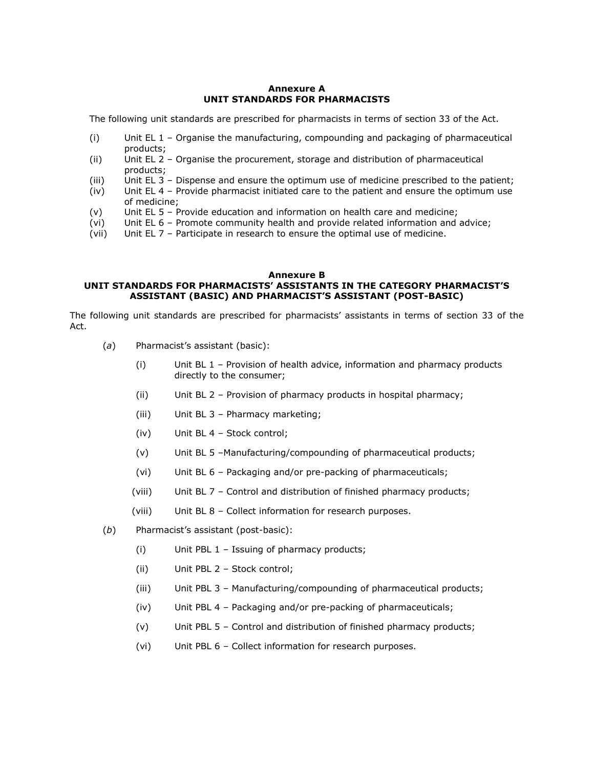### **Annexure A UNIT STANDARDS FOR PHARMACISTS**

The following unit standards are prescribed for pharmacists in terms of [section](http://www.mylexisnexis.co.za/nxt/gateway.dll/jilc/kilc/xjsg/zmsg/0msg/c34h#0) 33 of the Act.

- (i) Unit EL 1 Organise the manufacturing, compounding and packaging of pharmaceutical products;
- (ii) Unit EL 2 Organise the procurement, storage and distribution of pharmaceutical products;
- (iii) Unit EL 3 Dispense and ensure the optimum use of medicine prescribed to the patient;
- (iv) Unit EL 4 Provide pharmacist initiated care to the patient and ensure the optimum use of medicine;
- (v) Unit EL 5 Provide education and information on health care and medicine;
- (vi) Unit EL 6 Promote community health and provide related information and advice;
- (vii) Unit EL 7 Participate in research to ensure the optimal use of medicine.

#### **Annexure B**

## **UNIT STANDARDS FOR PHARMACISTS' ASSISTANTS IN THE CATEGORY PHARMACIST'S ASSISTANT (BASIC) AND PHARMACIST'S ASSISTANT (POST-BASIC)**

The following unit standards are prescribed for pharmacists' assistants in terms of [section 33](http://www.mylexisnexis.co.za/nxt/gateway.dll/jilc/kilc/xjsg/zmsg/0msg/c34h#0) of the Act.

- (*a*) Pharmacist's assistant (basic):
	- (i) Unit BL 1 Provision of health advice, information and pharmacy products directly to the consumer;
	- (ii) Unit BL 2 Provision of pharmacy products in hospital pharmacy;
	- (iii) Unit BL 3 Pharmacy marketing;
	- (iv) Unit BL 4 Stock control;
	- (v) Unit BL 5 –Manufacturing/compounding of pharmaceutical products;
	- (vi) Unit BL 6 Packaging and/or pre-packing of pharmaceuticals;
	- (viii) Unit BL 7 Control and distribution of finished pharmacy products;
	- (viii) Unit BL 8 Collect information for research purposes.
- (*b*) Pharmacist's assistant (post-basic):
	- (i) Unit PBL 1 Issuing of pharmacy products;
	- (ii) Unit PBL 2 Stock control;
	- (iii) Unit PBL 3 Manufacturing/compounding of pharmaceutical products;
	- (iv) Unit PBL 4 Packaging and/or pre-packing of pharmaceuticals;
	- (v) Unit PBL 5 Control and distribution of finished pharmacy products;
	- (vi) Unit PBL 6 Collect information for research purposes.